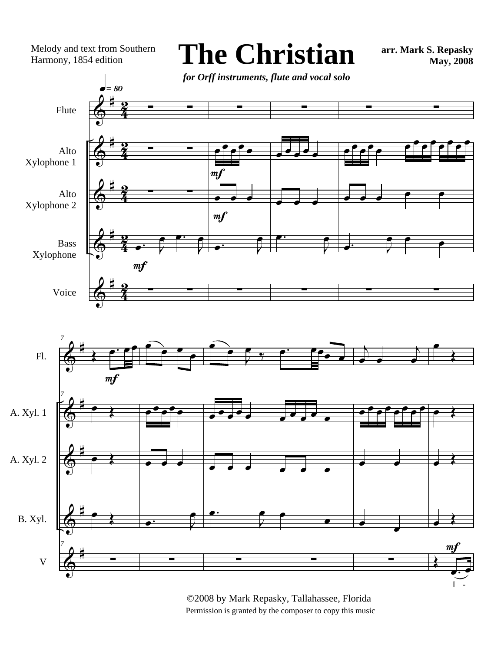Melody and text from Southern Harmony, 1854 edition

**The Christian**

**arr. Mark S. Repasky May, 2008**

 $\bm{\phi}$  $\Phi$  $\Phi$  $\Phi$  $\bm{\phi}$ # # # # # 4 <u>อ</u>ุ  $\frac{1}{4}$ <u>อ</u>ุ  $\frac{1}{4}$ <u>.</u><br>2  $\frac{1}{4}$ <u>.</u><br>2  $\frac{1}{4}$ <u>อ</u>ุ Flute Alto Xylophone 1 Alto Xylophone 2 Bass Xylophone Voice ∑ ∑ ∑  $\frac{1}{\alpha}$ œ ∑  $=$  80  $m<sub>f</sub>$ ∑ ∑ ∑  $\begin{array}{c} \bullet \cdot \quad \bullet \\ \hline \end{array}$ œ ∑ ∑  $e^{\prime}$ e $\overline{\phantom{a}}$ e  $\overrightarrow{e}$  $\overrightarrow{e}$ .  $\overrightarrow{e}$ œ ∑  $m f$ m f ∑ œ œ œ œ œ œ œ œ  $\begin{array}{|c|c|} \hline \cdots & \cdots & \cdots \ \hline \end{array}$ œ ∑ ∑ œœ œœœ  $\overrightarrow{e}$  $\overrightarrow{a}$ .  $\overrightarrow{a}$ œ ∑ ∑ œ œ œ œ œ œ œ œ œ œ  $\bullet$ ∑ *for Orff instruments, flute and vocal solo*



©2008 by Mark Repasky, Tallahassee, Florida Permission is granted by the composer to copy this music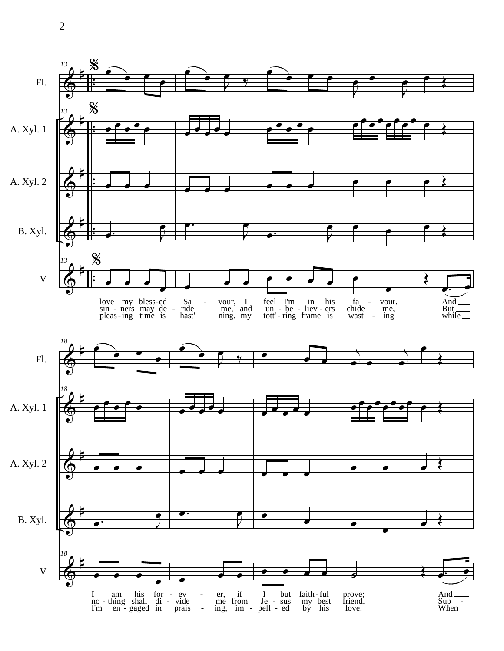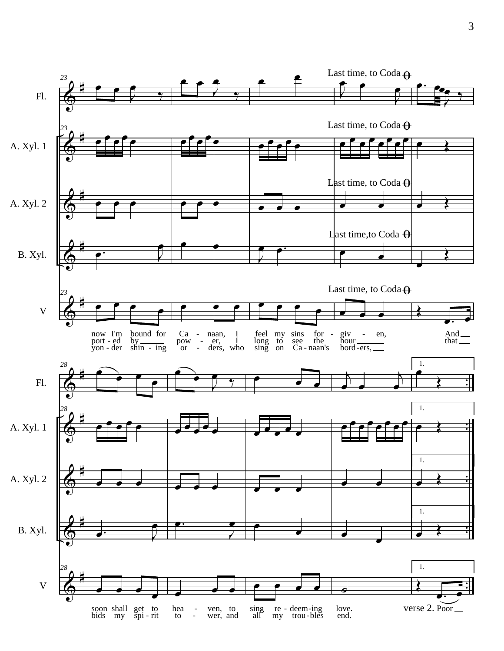